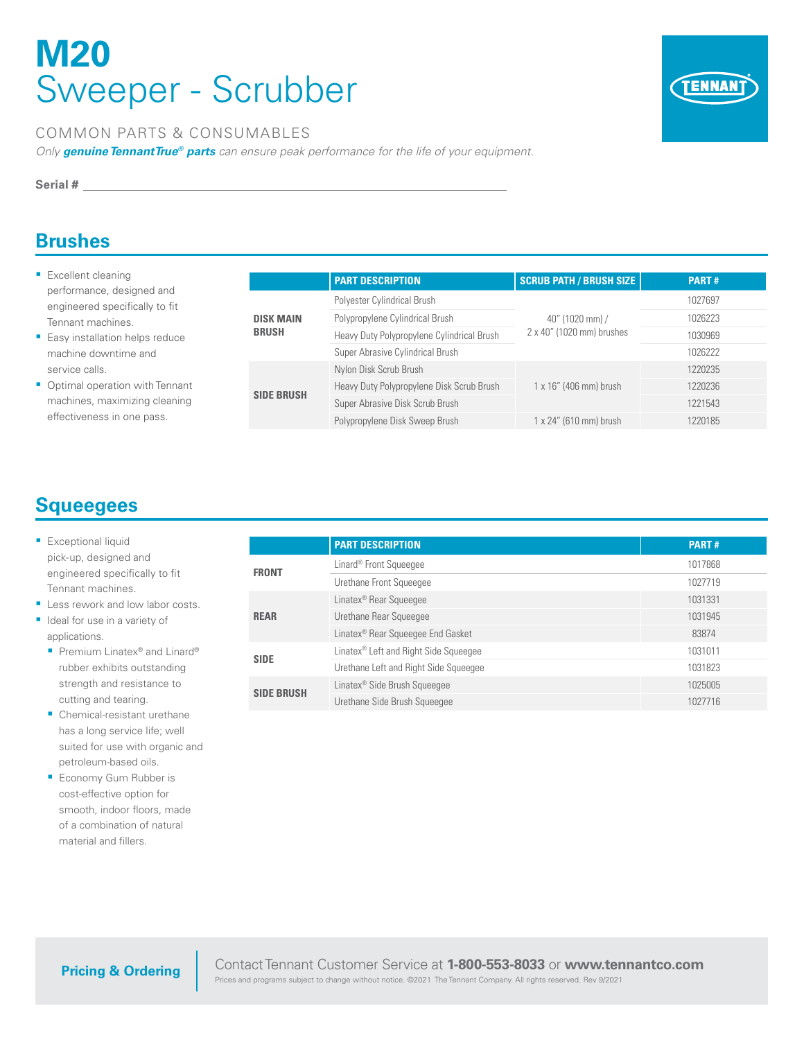# **M20**  Sweeper - Scrubber



#### COMMON PARTS & CONSUMABLES

*Only genuine TennantTrue® parts can ensure peak performance for the life of your equipment.*

**Serial #**

#### **Brushes**

- **Excellent cleaning** performance, designed and engineered specifically to fit Tennant machines.
- **Easy installation helps reduce** machine downtime and service calls.
- Optimal operation with Tennant machines, maximizing cleaning effectiveness in one pass.

|                                                       | <b>PART DESCRIPTION</b>                    | <b>SCRUB PATH / BRUSH SIZE</b>               | PART#   |
|-------------------------------------------------------|--------------------------------------------|----------------------------------------------|---------|
|                                                       | Polyester Cylindrical Brush                | 40" (1020 mm) /<br>2 x 40" (1020 mm) brushes | 1027697 |
| <b>DISK MAIN</b><br><b>BRUSH</b><br><b>SIDE BRUSH</b> | Polypropylene Cylindrical Brush            |                                              | 1026223 |
|                                                       | Heavy Duty Polypropylene Cylindrical Brush |                                              | 1030969 |
|                                                       | Super Abrasive Cylindrical Brush           |                                              | 1026222 |
|                                                       | Nylon Disk Scrub Brush                     |                                              | 1220235 |
| Super Abrasive Disk Scrub Brush                       | Heavy Duty Polypropylene Disk Scrub Brush  | $1 \times 16''$ (406 mm) brush               | 1220236 |
|                                                       |                                            |                                              | 1221543 |
|                                                       | Polypropylene Disk Sweep Brush             | 1 x 24" (610 mm) brush                       | 1220185 |

### **Squeegees**

- **Exceptional liquid** pick-up, designed and engineered specifically to fit Tennant machines.
- **Less rework and low labor costs.** I Ideal for use in a variety of applications.
	- Premium Linatex<sup>®</sup> and Linard<sup>®</sup> rubber exhibits outstanding strength and resistance to cutting and tearing.
	- **Chemical-resistant urethane** has a long service life; well suited for use with organic and petroleum-based oils.
	- **Economy Gum Rubber is** cost-effective option for smooth, indoor floors, made of a combination of natural material and fillers.

|                   | <b>PART DESCRIPTION</b>                           | <b>PART#</b> |
|-------------------|---------------------------------------------------|--------------|
| <b>FRONT</b>      | Linard <sup>®</sup> Front Squeeqee                | 1017868      |
|                   | Urethane Front Squeeqee                           | 1027719      |
|                   | Linatex <sup>®</sup> Rear Squeeqee                | 1031331      |
| <b>REAR</b>       | Urethane Rear Squeeqee                            | 1031945      |
|                   | Linatex <sup>®</sup> Rear Squeegee End Gasket     | 83874        |
| <b>SIDE</b>       | Linatex <sup>®</sup> Left and Right Side Squeegee | 1031011      |
|                   | Urethane Left and Right Side Squeeqee             | 1031823      |
|                   | Linatex <sup>®</sup> Side Brush Squeeqee          | 1025005      |
| <b>SIDE BRUSH</b> | Urethane Side Brush Squeeqee                      | 1027716      |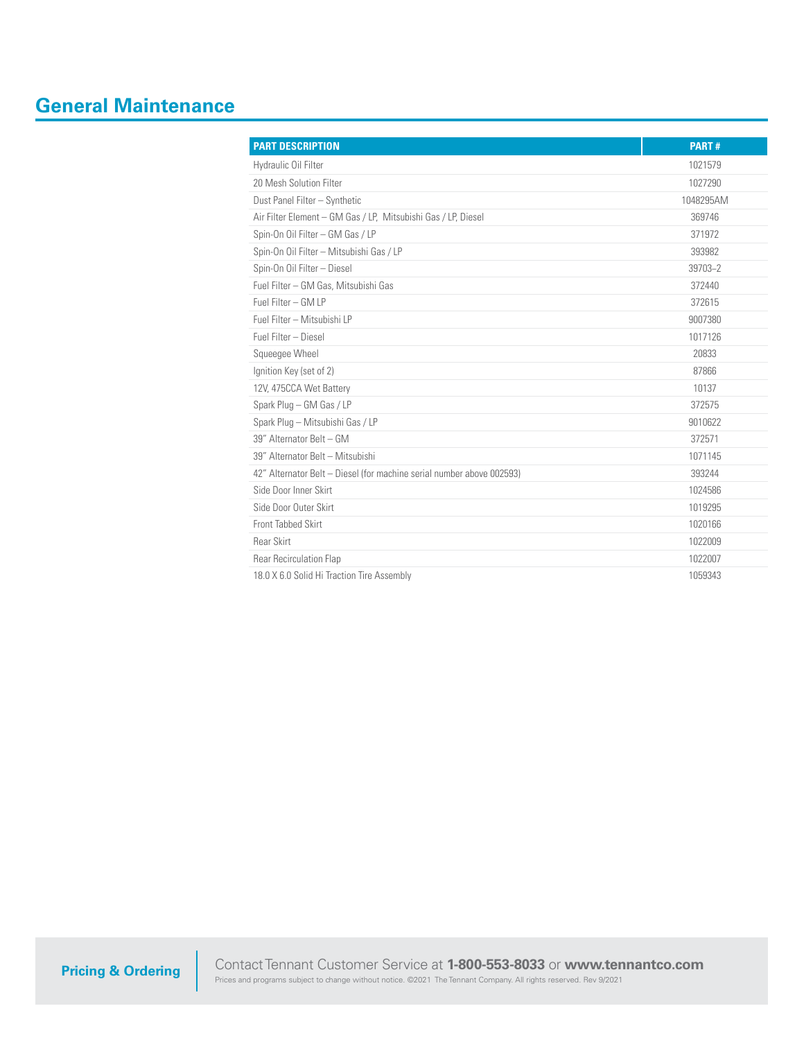## **General Maintenance**

| <b>PART DESCRIPTION</b>                                               | <b>PART#</b> |
|-----------------------------------------------------------------------|--------------|
| Hydraulic Oil Filter                                                  | 1021579      |
| 20 Mesh Solution Filter                                               | 1027290      |
| Dust Panel Filter - Synthetic                                         | 1048295AM    |
| Air Filter Element - GM Gas / LP, Mitsubishi Gas / LP, Diesel         | 369746       |
| Spin-On Oil Filter - GM Gas / LP                                      | 371972       |
| Spin-On Oil Filter - Mitsubishi Gas / LP                              | 393982       |
| Spin-On Oil Filter - Diesel                                           | 39703-2      |
| Fuel Filter - GM Gas, Mitsubishi Gas                                  | 372440       |
| Fuel Filter - GM I P                                                  | 372615       |
| Fuel Filter - Mitsubishi LP                                           | 9007380      |
| Fuel Filter - Diesel                                                  | 1017126      |
| Squeegee Wheel                                                        | 20833        |
| Ignition Key (set of 2)                                               | 87866        |
| 12V, 475CCA Wet Battery                                               | 10137        |
| Spark Plug - GM Gas / LP                                              | 372575       |
| Spark Plug - Mitsubishi Gas / LP                                      | 9010622      |
| 39" Alternator Belt - GM                                              | 372571       |
| 39" Alternator Belt - Mitsubishi                                      | 1071145      |
| 42" Alternator Belt - Diesel (for machine serial number above 002593) | 393244       |
| Side Door Inner Skirt                                                 | 1024586      |
| Side Door Outer Skirt                                                 | 1019295      |
| Front Tabbed Skirt                                                    | 1020166      |
| <b>Rear Skirt</b>                                                     | 1022009      |
| <b>Rear Recirculation Flap</b>                                        | 1022007      |
| 18.0 X 6.0 Solid Hi Traction Tire Assembly                            | 1059343      |